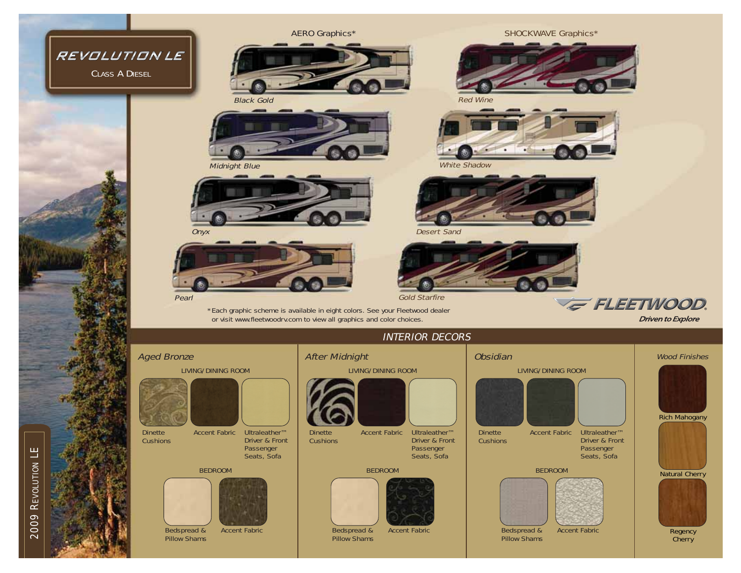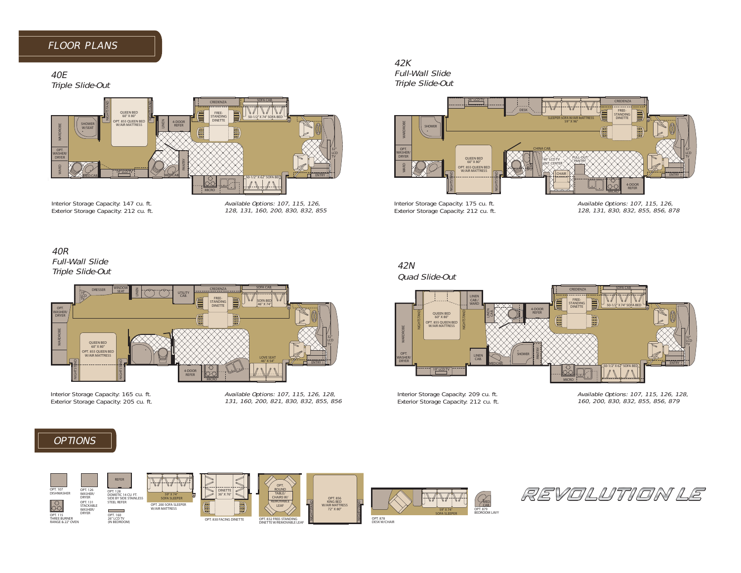## FLOOR PLANS

## 40E

Triple Slide-Out



Interior Storage Capacity: 147 cu. ft. Exterior Storage Capacity: 212 cu. ft. Available Options: 107, 115, 126, 128, 131, 160, 200, 830, 832, 855

# 42K

Full-Wall Slide Triple Slide-Out



Interior Storage Capacity: 175 cu. ft. Exterior Storage Capacity: 212 cu. ft.

Available Options: 107, 115, 126, 128, 131, 830, 832, 855, 856, 878

## 40R Full-Wall Slide Triple Slide-Out



Interior Storage Capacity: 165 cu. ft. Exterior Storage Capacity: 205 cu. ft. Available Options: 107, 115, 126, 128, 131, 160, 200, 821, 830, 832, 855, 856

## 42N

Quad Slide-Out



Interior Storage Capacity: 209 cu. ft. Exterior Storage Capacity: 212 cu. ft. Available Options: 107, 115, 126, 128, 160, 200, 830, 832, 855, 856, 879

## **OPTIONS**



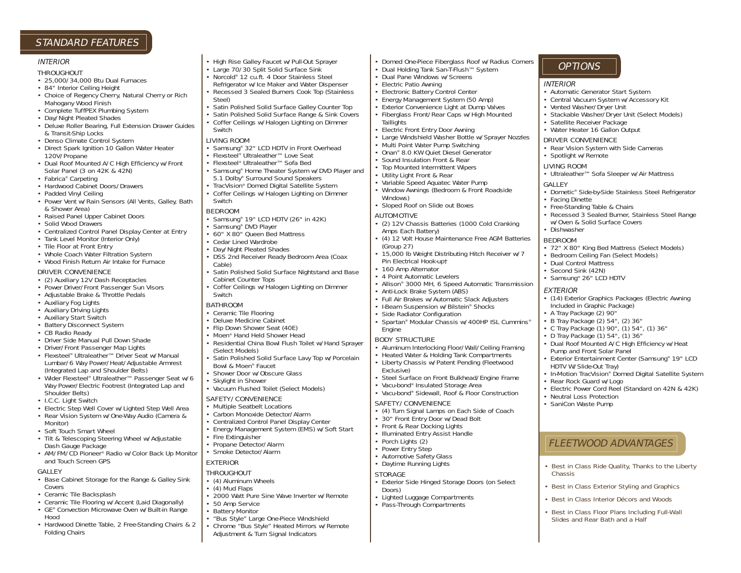### STANDARD FEATURES

#### INTERIOR

#### THROUGHOUT

- 25,000/34,000 Btu Dual Furnaces
- 84" Interior Ceiling Height
- Choice of Regency Cherry, Natural Cherry or Rich Mahogany Wood Finish
- Complete TuffPEX Plumbing System
- Day/Night Pleated Shades
- Deluxe Roller Bearing, Full Extension Drawer Guides & Transit-Ship Locks
- Denso Climate Control System
- Direct Spark Ignition 10 Gallon Water Heater 120V/Propane
- Dual Roof Mounted A/C High Efficiency w/Front Solar Panel (3 on 42K & 42N)
- Fabrica® Carpeting
- Hardwood Cabinet Doors/Drawers
- Padded Vinyl Ceiling
- Power Vent w/Rain Sensors (All Vents, Galley, Bath & Shower Area)
- Raised Panel Upper Cabinet Doors
- Solid Wood Drawers
- Centralized Control Panel Display Center at Entry
- Tank Level Monitor (Interior Only)
- Tile Floor at Front Entry
- Whole Coach Water Filtration System

#### • Wood Finish Return Air Intake for Furnace

#### DRIVER CONVENIENCE

- (2) Auxiliary 12V Dash Receptacles
- Power Driver/Front Passenger Sun Visors
- Adjustable Brake & Throttle Pedals
- Auxiliary Fog Lights
- Auxiliary Driving Lights
- Auxiliary Start Switch
- Battery Disconnect System
- CB Radio Ready
- Driver Side Manual Pull Down Shade
- Driver/Front Passenger Map Lights
- Flexsteel® Ultraleather™ Driver Seat w/Manual Lumbar/6 Way Power/Heat/Adjustable Armrest (Integrated Lap and Shoulder Belts)
- Wider Flexsteel® Ultraleather™ Passenger Seat w/6 Way Power/Electric Footrest (Integrated Lap and Shoulder Belts)
- I.C.C. Light Switch
- Electric Step Well Cover w/Lighted Step Well Area
- Rear Vision System w/One-Way Audio (Camera & Monitor)
- Soft Touch Smart Wheel
- Tilt & Telescoping Steering Wheel w/Adjustable Dash Gauge Package
- AM/FM/CD Pioneer® Radio w/Color Back Up Monitor and Touch Screen GPS

#### GALLEY

- Base Cabinet Storage for the Range & Galley Sink Covers
- Ceramic Tile Backsplash
- Ceramic Tile Flooring w/Accent (Laid Diagonally)
- GE® Convection Microwave Oven w/Built-in Range Hood
	-
- Hardwood Dinette Table, 2 Free-Standing Chairs & 2 Folding Chairs
- High Rise Galley Faucet w/Pull-Out Sprayer
- Large 70/30 Split Solid Surface Sink
- Norcold® 12 cu.ft. 4 Door Stainless Steel
- Refrigerator w/Ice Maker and Water Dispenser • Recessed 3 Sealed Burners Cook Top (Stainless Steel)
- Satin Polished Solid Surface Galley Counter Top
- Satin Polished Solid Surface Range & Sink Covers
- Coffer Ceilings w/Halogen Lighting on Dimmer Switch

#### LIVING ROOM

- Samsung® 32" LCD HDTV in Front Overhead
- Flexsteel® Ultraleather™ Love Seat
- Flexsteel® Ultraleather™ Sofa Bed
- Samsung® Home Theater System w/DVD Player and 5.1 Dolby® Surround Sound Speakers
- TracVision® Domed Digital Satellite System
- Coffer Ceilings w/Halogen Lighting on Dimmer **Switch**

#### BEDROOM

- Samsung® 19" LCD HDTV (26" in 42K)
- Samsung® DVD Player
- 60" X 80" Queen Bed Mattress
- Cedar Lined Wardrobe
- Day/Night Pleated Shades
- DSS 2nd Receiver Ready Bedroom Area (Coax Cable)
- Satin Polished Solid Surface Nightstand and Base Cabinet Counter Tops
- Coffer Ceilings w/Halogen Lighting on Dimmer Switch

#### **BATHROOM**

- Ceramic Tile Flooring
- Deluxe Medicine Cabinet
- Flip Down Shower Seat (40E)
- Moen<sup>®</sup> Hand Held Shower Head
- Residential China Bowl Flush Toilet w/Hand Sprayer (Select Models)
- Satin Polished Solid Surface Lavy Top w/Porcelair Bowl & Moen® Faucet
- Shower Door w/Obscure Glass
- Skylight in Shower
- Vacuum Flushed Toilet (Select Models)

### SAFETY/CONVENIENCE

- Multiple Seatbelt Locations
- Carbon Monoxide Detector/Alarm
- Centralized Control Panel Display Center
- Energy Management System (EMS) w/Soft Start
- Fire Extinguisher
- Propane Detector/Alarm
- Smoke Detector/Alarm EXTERIOR
- 

### THROUGHOUT

- (4) Aluminum Wheels
- (4) Mud Flaps
- 2000 Watt Pure Sine Wave Inverter w/Remote
- 50 Amp Service
- Battery Monitor
	- "Bus Style" Large One-Piece Windshield
	- Chrome "Bus Style" Heated Mirrors w/Remote Adjustment & Turn Signal Indicators

• Domed One-Piece Fiberglass Roof w/Radius Corners

**INTERIOR** 

**GALLEY** 

• Facing Dinette

• Dishwasher BEDROOM

EXTERIOR

• Automatic Generator Start System • Central Vacuum System w/Accessory Kit

• Stackable Washer/Dryer Unit (Select Models)

• Rear Vision System with Side Cameras

• Ultraleather™ Sofa Sleeper w/Air Mattress

• Dometic® Side-by-Side Stainless Steel Refrigerator

• Recessed 3 Sealed Burner, Stainless Steel Range

• 72" X 80" King Bed Mattress (Select Models) • Bedroom Ceiling Fan (Select Models)

• (14) Exterior Graphics Packages (Electric Awning

• Dual Roof Mounted A/C High Efficiency w/Heat

• Exterior Entertainment Center (Samsung® 19" LCD

• In-Motion TracVision® Domed Digital Satellite System

• Electric Power Cord Reel (Standard on 42N & 42K)

• Best in Class Ride Quality, Thanks to the Liberty

• Best in Class Exterior Styling and Graphics • Best in Class Interior Décors and Woods • Best in Class Floor Plans Including Full-Wall Slides and Rear Bath and a Half

FLEETWOOD ADVANTAGES

• B Tray Package (2) 54", (2) 36" • C Tray Package (1) 90", (1) 54", (1) 36" • D Tray Package (1) 54", (1) 36"

• Vented Washer/Dryer Unit

**OPTIONS** 

• Satellite Receiver Package • Water Heater 16 Gallon Output DRIVER CONVENIENCE

• Free-Standing Table & Chairs

• Dual Control Mattress • Second Sink (42N) • Samsung® 26" LCD HDTV

Included in Graphic Package) • A Tray Package (2) 90"

Pump and Front Solar Panel

HDTV W/Slide-Out Tray)

• Rear Rock Guard w/Logo

• Neutral Loss Protection • SaniCon Waste Pump

Chassis

w/Oven & Solid Surface Covers

• Spotlight w/Remote LIVING ROOM

• Large Windshield Washer Bottle w/Sprayer Nozzles

• (2) 12V Chassis Batteries (1000 Cold Cranking

• (4) 12 Volt House Maintenance Free AGM Batteries

• Allison® 3000 MH, 6 Speed Automatic Transmission

• Spartan® Modular Chassis w/400HP ISL Cummins®

• Aluminum Interlocking Floor/Wall/Ceiling Framing • Heated Water & Holding Tank Compartments • Liberty Chassis w/Patent Pending (Fleetwood

• Steel Surface on Front Bulkhead/Engine Frame

• Vacu-bond® Sidewall, Roof & Floor Construction

• (4) Turn Signal Lamps on Each Side of Coach • 30" Front Entry Door w/Dead Bolt • Front & Rear Docking Lights • Illuminated Entry Assist Handle

• Exterior Side Hinged Storage Doors (on Select

• Lighted Luggage Compartments • Pass-Through Compartments

• Vacu-bond® Insulated Storage Area

SAFETY/CONVENIENCE

• Porch Lights (2) • Power Entry Step • Automotive Safety Glass • Daytime Running Lights

STORAGE

Doors)

• Full Air Brakes w/Automatic Slack Adjusters • I-Beam Suspension w/Bilstein® Shocks • Side Radiator Configuration

• 15,000 lb Weight Distributing Hitch Receiver w/7

• Dual Holding Tank San-T-Flush™ System • Dual Pane Windows w/Screens • Electric Patio Awning

• Electronic Battery Control Center • Energy Management System (50 Amp) • Exterior Convenience Light at Dump Valves • Fiberglass Front/Rear Caps w/High Mounted

• Electric Front Entry Door Awning

• Multi Point Water Pump Switching • Onan® 8.0 KW Quiet Diesel Generator • Sound Insulation Front & Rear • Top Mounted Intermittent Wipers • Utility Light Front & Rear • Variable Speed Aquatec Water Pump • Window Awnings (Bedroom & Front Roadside

• Sloped Roof on Slide out Boxes

**Taillights** 

Windows)

AUTOMOTIVE

(Group 27)

Engine BODY STRUCTURE

Exclusive)

Amps Each Battery)

Pin Electrical Hook-up† • 160 Amp Alternator • 4 Point Automatic Levelers

• Anti-Lock Brake System (ABS)